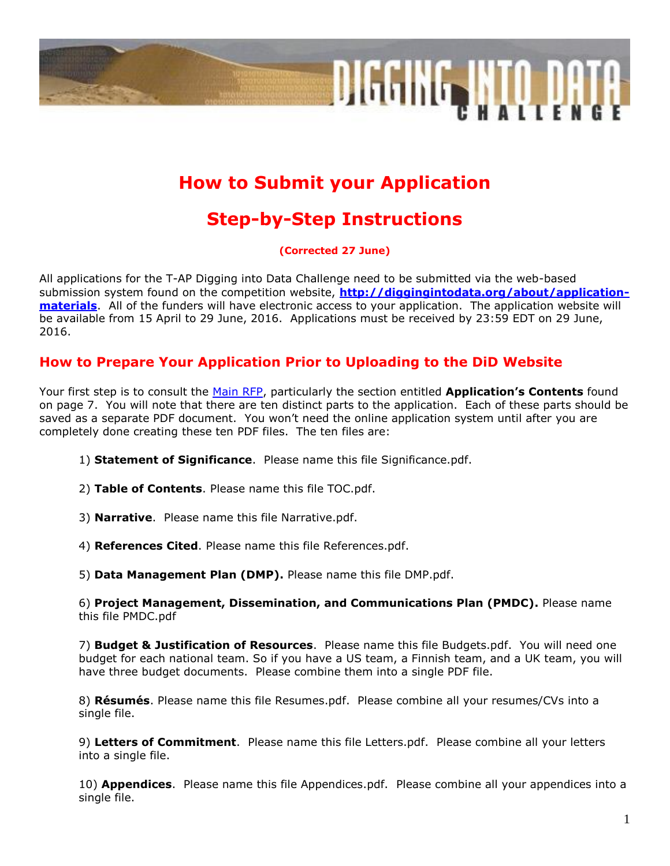

# **How to Submit your Application**

# **Step-by-Step Instructions**

**(Corrected 27 June)**

All applications for the T-AP Digging into Data Challenge need to be submitted via the web-based submission system found on the competition website, **[http://diggingintodata.org/about/application](http://diggingintodata.org/about/application-materials)[materials](http://diggingintodata.org/about/application-materials)**. All of the funders will have electronic access to your application. The application website will be available from 15 April to 29 June, 2016. Applications must be received by 23:59 EDT on 29 June, 2016.

### **How to Prepare Your Application Prior to Uploading to the DiD Website**

Your first step is to consult the [Main RFP,](http://diggingintodata.org/about/application-materials) particularly the section entitled **Application's Contents** found on page 7. You will note that there are ten distinct parts to the application. Each of these parts should be saved as a separate PDF document. You won't need the online application system until after you are completely done creating these ten PDF files. The ten files are:

- 1) **Statement of Significance**. Please name this file Significance.pdf.
- 2) **Table of Contents**. Please name this file TOC.pdf.
- 3) **Narrative**. Please name this file Narrative.pdf.
- 4) **References Cited**. Please name this file References.pdf.

5) **Data Management Plan (DMP).** Please name this file DMP.pdf.

6) **Project Management, Dissemination, and Communications Plan (PMDC).** Please name this file PMDC.pdf

7) **Budget & Justification of Resources**. Please name this file Budgets.pdf. You will need one budget for each national team. So if you have a US team, a Finnish team, and a UK team, you will have three budget documents. Please combine them into a single PDF file.

8) **Résumés**. Please name this file Resumes.pdf. Please combine all your resumes/CVs into a single file.

9) **Letters of Commitment**. Please name this file Letters.pdf. Please combine all your letters into a single file.

10) **Appendices**. Please name this file Appendices.pdf. Please combine all your appendices into a single file.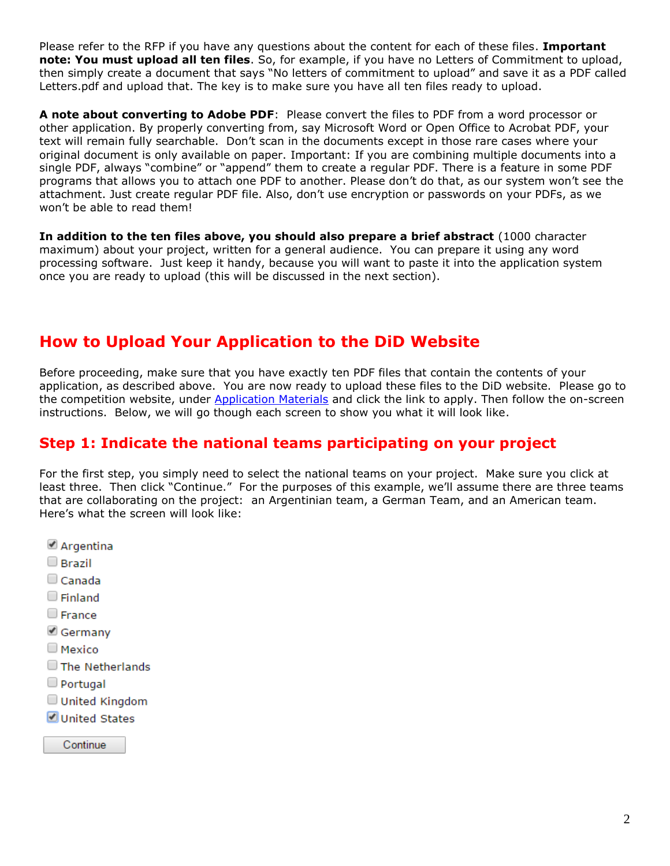Please refer to the RFP if you have any questions about the content for each of these files. **Important note: You must upload all ten files**. So, for example, if you have no Letters of Commitment to upload, then simply create a document that says "No letters of commitment to upload" and save it as a PDF called Letters.pdf and upload that. The key is to make sure you have all ten files ready to upload.

**A note about converting to Adobe PDF**: Please convert the files to PDF from a word processor or other application. By properly converting from, say Microsoft Word or Open Office to Acrobat PDF, your text will remain fully searchable. Don't scan in the documents except in those rare cases where your original document is only available on paper. Important: If you are combining multiple documents into a single PDF, always "combine" or "append" them to create a regular PDF. There is a feature in some PDF programs that allows you to attach one PDF to another. Please don't do that, as our system won't see the attachment. Just create regular PDF file. Also, don't use encryption or passwords on your PDFs, as we won't be able to read them!

**In addition to the ten files above, you should also prepare a brief abstract** (1000 character maximum) about your project, written for a general audience. You can prepare it using any word processing software. Just keep it handy, because you will want to paste it into the application system once you are ready to upload (this will be discussed in the next section).

## **How to Upload Your Application to the DiD Website**

Before proceeding, make sure that you have exactly ten PDF files that contain the contents of your application, as described above. You are now ready to upload these files to the DiD website. Please go to the competition website, under [Application Materials](http://diggingintodata.org/about/application-materials) and click the link to apply. Then follow the on-screen instructions. Below, we will go though each screen to show you what it will look like.

## **Step 1: Indicate the national teams participating on your project**

For the first step, you simply need to select the national teams on your project. Make sure you click at least three. Then click "Continue." For the purposes of this example, we'll assume there are three teams that are collaborating on the project: an Argentinian team, a German Team, and an American team. Here's what the screen will look like:

- Argentina
- $\Box$  Brazil
- $\Box$  Canada
- $\Box$  Finland
- $\Box$  France
- Germany
- $\square$  Mexico
- The Netherlands
- $\Box$  Portugal
- United Kingdom
- United States

Continue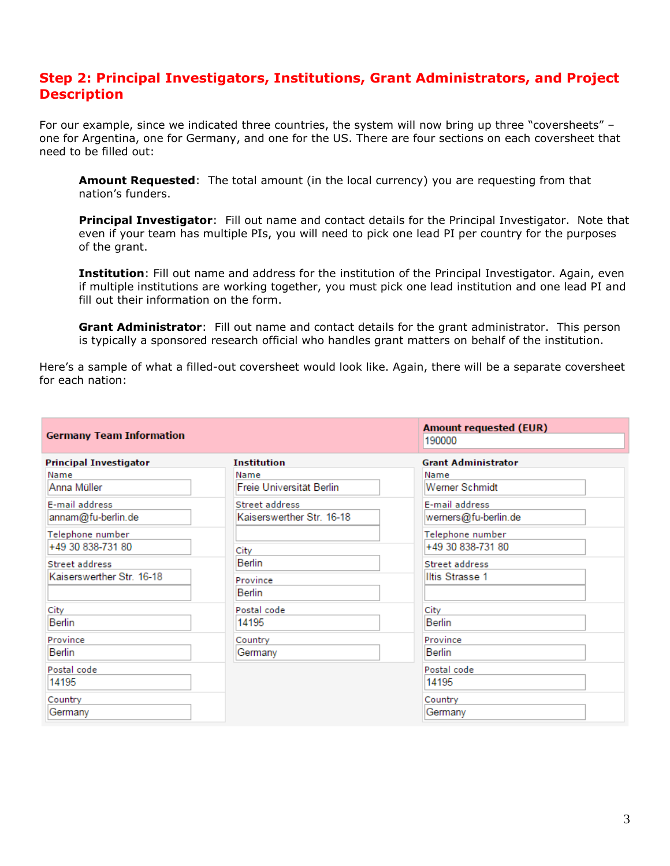### **Step 2: Principal Investigators, Institutions, Grant Administrators, and Project Description**

For our example, since we indicated three countries, the system will now bring up three "coversheets" – one for Argentina, one for Germany, and one for the US. There are four sections on each coversheet that need to be filled out:

**Amount Requested**: The total amount (in the local currency) you are requesting from that nation's funders.

**Principal Investigator**: Fill out name and contact details for the Principal Investigator. Note that even if your team has multiple PIs, you will need to pick one lead PI per country for the purposes of the grant.

**Institution**: Fill out name and address for the institution of the Principal Investigator. Again, even if multiple institutions are working together, you must pick one lead institution and one lead PI and fill out their information on the form.

**Grant Administrator**: Fill out name and contact details for the grant administrator. This person is typically a sponsored research official who handles grant matters on behalf of the institution.

Here's a sample of what a filled-out coversheet would look like. Again, there will be a separate coversheet for each nation:

| <b>Germany Team Information</b>             |                                             | <b>Amount requested (EUR)</b><br>190000  |
|---------------------------------------------|---------------------------------------------|------------------------------------------|
| <b>Principal Investigator</b>               | <b>Institution</b>                          | <b>Grant Administrator</b>               |
| Name<br>Anna Müller                         | Name<br>Freie Universität Berlin            | Name<br>Werner Schmidt                   |
| E-mail address<br>annam@fu-berlin.de        | Street address<br>Kaiserswerther Str. 16-18 | E-mail address<br>werners@fu-berlin.de   |
| Telephone number<br>+49 30 838-731 80       | City                                        | Telephone number<br>+49 30 838-731 80    |
| Street address<br>Kaiserswerther Str. 16-18 | Berlin<br>Province<br>Berlin                | <b>Street address</b><br>Iltis Strasse 1 |
| City<br>Berlin                              | Postal code<br>14195                        | City<br>Berlin                           |
| Province<br>Berlin                          | Country<br>Germany                          | Province<br>Berlin                       |
| Postal code<br>14195                        |                                             | Postal code<br>14195                     |
| Country<br>Germany                          |                                             | Country<br>Germany                       |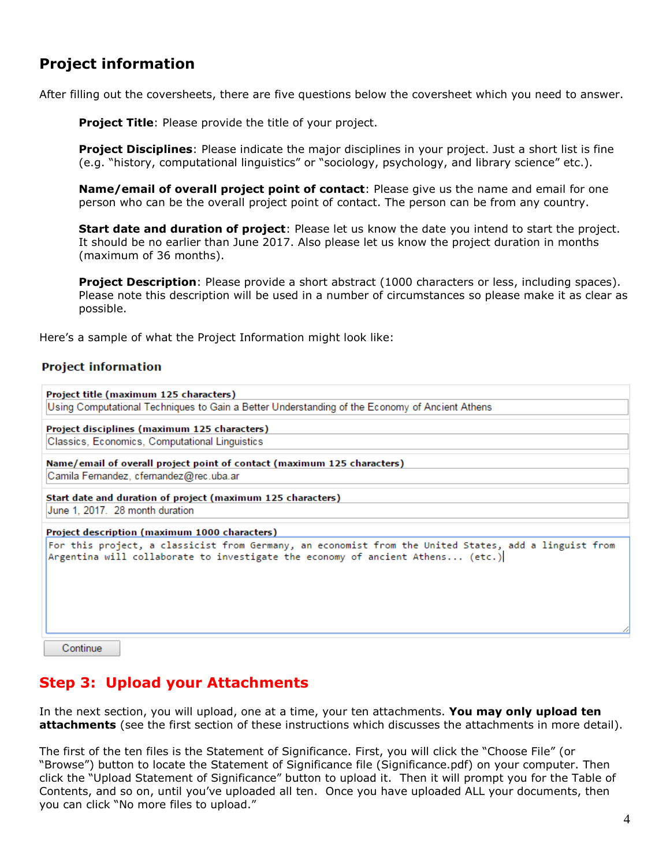## **Project information**

After filling out the coversheets, there are five questions below the coversheet which you need to answer.

**Project Title:** Please provide the title of your project.

**Project Disciplines**: Please indicate the major disciplines in your project. Just a short list is fine (e.g. "history, computational linguistics" or "sociology, psychology, and library science" etc.).

**Name/email of overall project point of contact**: Please give us the name and email for one person who can be the overall project point of contact. The person can be from any country.

**Start date and duration of project**: Please let us know the date you intend to start the project. It should be no earlier than June 2017. Also please let us know the project duration in months (maximum of 36 months).

**Project Description**: Please provide a short abstract (1000 characters or less, including spaces). Please note this description will be used in a number of circumstances so please make it as clear as possible.

Here's a sample of what the Project Information might look like:

#### **Project information**

```
Project title (maximum 125 characters)
Using Computational Techniques to Gain a Better Understanding of the Economy of Ancient Athens
Project disciplines (maximum 125 characters)
Classics, Economics, Computational Linguistics
Name/email of overall project point of contact (maximum 125 characters)
Camila Fernandez, cfernandez@rec.uba.ar
Start date and duration of project (maximum 125 characters)
June 1, 2017. 28 month duration
Project description (maximum 1000 characters)
For this project, a classicist from Germany, an economist from the United States, add a linguist from
Argentina will collaborate to investigate the economy of ancient Athens... (etc.)
   Continue
```
## **Step 3: Upload your Attachments**

In the next section, you will upload, one at a time, your ten attachments. **You may only upload ten attachments** (see the first section of these instructions which discusses the attachments in more detail).

The first of the ten files is the Statement of Significance. First, you will click the "Choose File" (or "Browse") button to locate the Statement of Significance file (Significance.pdf) on your computer. Then click the "Upload Statement of Significance" button to upload it. Then it will prompt you for the Table of Contents, and so on, until you've uploaded all ten. Once you have uploaded ALL your documents, then you can click "No more files to upload."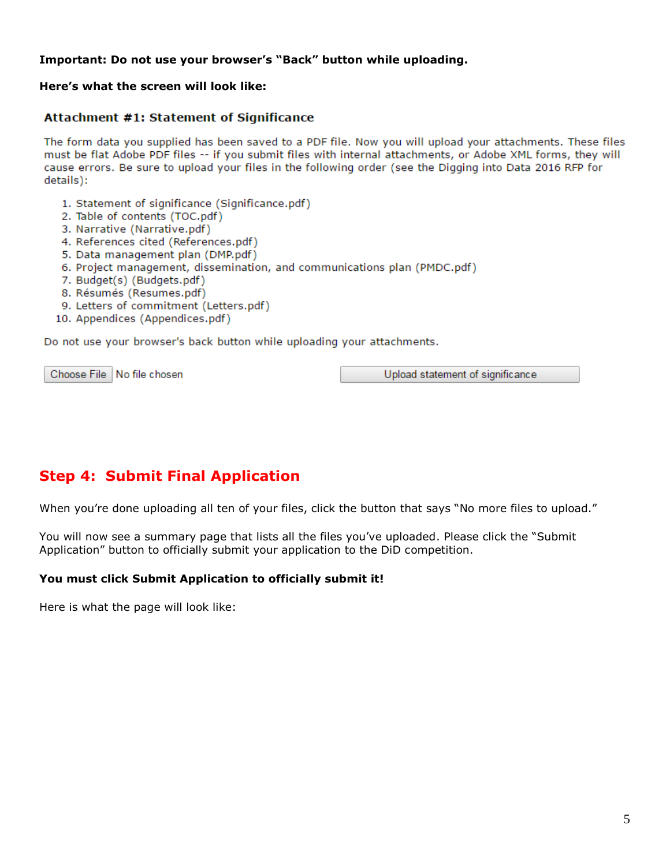#### **Important: Do not use your browser's "Back" button while uploading.**

#### **Here's what the screen will look like:**

#### Attachment #1: Statement of Significance

The form data you supplied has been saved to a PDF file. Now you will upload your attachments. These files must be flat Adobe PDF files -- if you submit files with internal attachments, or Adobe XML forms, they will cause errors. Be sure to upload your files in the following order (see the Digging into Data 2016 RFP for details):

- 1. Statement of significance (Significance.pdf)
- 2. Table of contents (TOC.pdf)
- 3. Narrative (Narrative.pdf)
- 4. References cited (References.pdf)
- 5. Data management plan (DMP.pdf)
- 6. Project management, dissemination, and communications plan (PMDC.pdf)
- 7. Budget(s) (Budgets.pdf)
- 8. Résumés (Resumes.pdf)
- 9. Letters of commitment (Letters.pdf)
- 10. Appendices (Appendices.pdf)

Do not use your browser's back button while uploading your attachments.

Choose File | No file chosen

Upload statement of significance

## **Step 4: Submit Final Application**

When you're done uploading all ten of your files, click the button that says "No more files to upload."

You will now see a summary page that lists all the files you've uploaded. Please click the "Submit Application" button to officially submit your application to the DiD competition.

#### **You must click Submit Application to officially submit it!**

Here is what the page will look like: